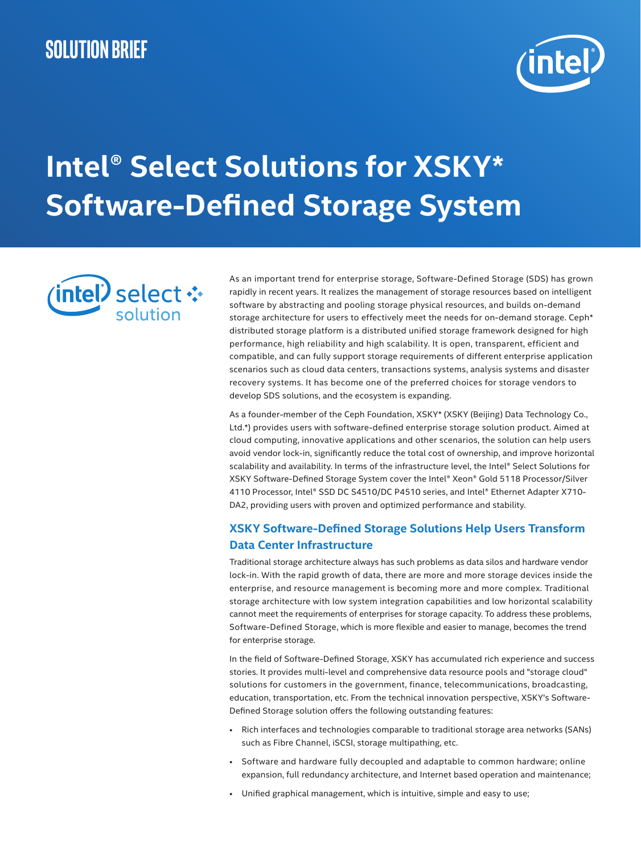

# **Intel® Select Solutions for XSKY\* Software-Defined Storage System**



As an important trend for enterprise storage, Software-Defined Storage (SDS) has grown rapidly in recent years. It realizes the management of storage resources based on intelligent software by abstracting and pooling storage physical resources, and builds on-demand storage architecture for users to effectively meet the needs for on-demand storage. Ceph\* distributed storage platform is a distributed unified storage framework designed for high performance, high reliability and high scalability. It is open, transparent, efficient and compatible, and can fully support storage requirements of different enterprise application scenarios such as cloud data centers, transactions systems, analysis systems and disaster recovery systems. It has become one of the preferred choices for storage vendors to develop SDS solutions, and the ecosystem is expanding.

As a founder-member of the Ceph Foundation, XSKY\* (XSKY (Beijing) Data Technology Co., Ltd.\*) provides users with software-defined enterprise storage solution product. Aimed at cloud computing, innovative applications and other scenarios, the solution can help users avoid vendor lock-in, significantly reduce the total cost of ownership, and improve horizontal scalability and availability. In terms of the infrastructure level, the Intel® Select Solutions for XSKY Software-Defined Storage System cover the Intel® Xeon® Gold 5118 Processor/Silver 4110 Processor, Intel® SSD DC S4510/DC P4510 series, and Intel® Ethernet Adapter X710- DA2, providing users with proven and optimized performance and stability.

# **XSKY Software-Defined Storage Solutions Help Users Transform Data Center Infrastructure**

Traditional storage architecture always has such problems as data silos and hardware vendor lock-in. With the rapid growth of data, there are more and more storage devices inside the enterprise, and resource management is becoming more and more complex. Traditional storage architecture with low system integration capabilities and low horizontal scalability cannot meet the requirements of enterprises for storage capacity. To address these problems, Software-Defined Storage, which is more flexible and easier to manage, becomes the trend for enterprise storage.

In the field of Software-Defined Storage, XSKY has accumulated rich experience and success stories. It provides multi-level and comprehensive data resource pools and "storage cloud" solutions for customers in the government, finance, telecommunications, broadcasting, education, transportation, etc. From the technical innovation perspective, XSKY's Software-Defined Storage solution offers the following outstanding features:

- Rich interfaces and technologies comparable to traditional storage area networks (SANs) such as Fibre Channel, iSCSI, storage multipathing, etc.
- Software and hardware fully decoupled and adaptable to common hardware; online expansion, full redundancy architecture, and Internet based operation and maintenance;
- Unified graphical management, which is intuitive, simple and easy to use;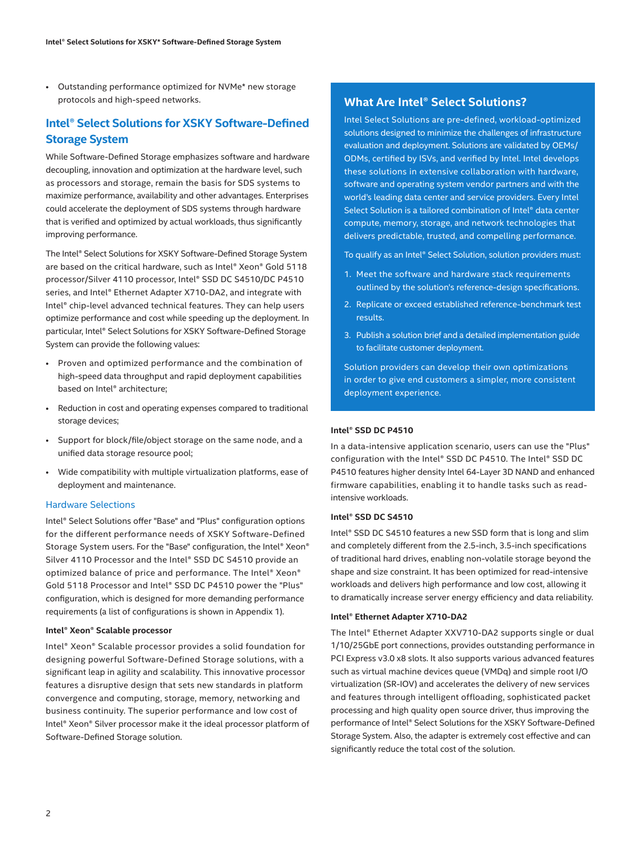• Outstanding performance optimized for NVMe\* new storage protocols and high-speed networks.

# **Intel® Select Solutions for XSKY Software-Defined Storage System**

While Software-Defined Storage emphasizes software and hardware decoupling, innovation and optimization at the hardware level, such as processors and storage, remain the basis for SDS systems to maximize performance, availability and other advantages. Enterprises could accelerate the deployment of SDS systems through hardware that is verified and optimized by actual workloads, thus significantly improving performance.

The Intel® Select Solutions for XSKY Software-Defined Storage System are based on the critical hardware, such as Intel® Xeon® Gold 5118 processor/Silver 4110 processor, Intel® SSD DC S4510/DC P4510 series, and Intel® Ethernet Adapter X710-DA2, and integrate with Intel® chip-level advanced technical features. They can help users optimize performance and cost while speeding up the deployment. In particular, Intel® Select Solutions for XSKY Software-Defined Storage System can provide the following values:

- Proven and optimized performance and the combination of high-speed data throughput and rapid deployment capabilities based on Intel® architecture;
- Reduction in cost and operating expenses compared to traditional storage devices;
- Support for block/file/object storage on the same node, and a unified data storage resource pool;
- Wide compatibility with multiple virtualization platforms, ease of deployment and maintenance.

## Hardware Selections

Intel® Select Solutions offer "Base" and "Plus" configuration options for the different performance needs of XSKY Software-Defined Storage System users. For the "Base" configuration, the Intel® Xeon® Silver 4110 Processor and the Intel® SSD DC S4510 provide an optimized balance of price and performance. The Intel® Xeon® Gold 5118 Processor and Intel® SSD DC P4510 power the "Plus" configuration, which is designed for more demanding performance requirements (a list of configurations is shown in Appendix 1).

### **Intel® Xeon® Scalable processor**

Intel® Xeon® Scalable processor provides a solid foundation for designing powerful Software-Defined Storage solutions, with a significant leap in agility and scalability. This innovative processor features a disruptive design that sets new standards in platform convergence and computing, storage, memory, networking and business continuity. The superior performance and low cost of Intel® Xeon® Silver processor make it the ideal processor platform of Software-Defined Storage solution.

# **What Are Intel® Select Solutions?**

Intel Select Solutions are pre-defined, workload-optimized solutions designed to minimize the challenges of infrastructure evaluation and deployment. Solutions are validated by OEMs/ ODMs, certified by ISVs, and verified by Intel. Intel develops these solutions in extensive collaboration with hardware, software and operating system vendor partners and with the world's leading data center and service providers. Every Intel Select Solution is a tailored combination of Intel® data center compute, memory, storage, and network technologies that delivers predictable, trusted, and compelling performance.

To qualify as an Intel® Select Solution, solution providers must:

- 1. Meet the software and hardware stack requirements outlined by the solution's reference-design specifications.
- 2. Replicate or exceed established reference-benchmark test results.
- 3. Publish a solution brief and a detailed implementation guide to facilitate customer deployment.

Solution providers can develop their own optimizations in order to give end customers a simpler, more consistent deployment experience.

## **Intel® SSD DC P4510**

In a data-intensive application scenario, users can use the "Plus" configuration with the Intel® SSD DC P4510. The Intel® SSD DC P4510 features higher density Intel 64-Layer 3D NAND and enhanced firmware capabilities, enabling it to handle tasks such as readintensive workloads.

## **Intel® SSD DC S4510**

Intel® SSD DC S4510 features a new SSD form that is long and slim and completely different from the 2.5-inch, 3.5-inch specifications of traditional hard drives, enabling non-volatile storage beyond the shape and size constraint. It has been optimized for read-intensive workloads and delivers high performance and low cost, allowing it to dramatically increase server energy efficiency and data reliability.

#### **Intel® Ethernet Adapter X710-DA2**

The Intel® Ethernet Adapter XXV710-DA2 supports single or dual 1/10/25GbE port connections, provides outstanding performance in PCI Express v3.0 x8 slots. It also supports various advanced features such as virtual machine devices queue (VMDq) and simple root I/O virtualization (SR-IOV) and accelerates the delivery of new services and features through intelligent offloading, sophisticated packet processing and high quality open source driver, thus improving the performance of Intel® Select Solutions for the XSKY Software-Defined Storage System. Also, the adapter is extremely cost effective and can significantly reduce the total cost of the solution.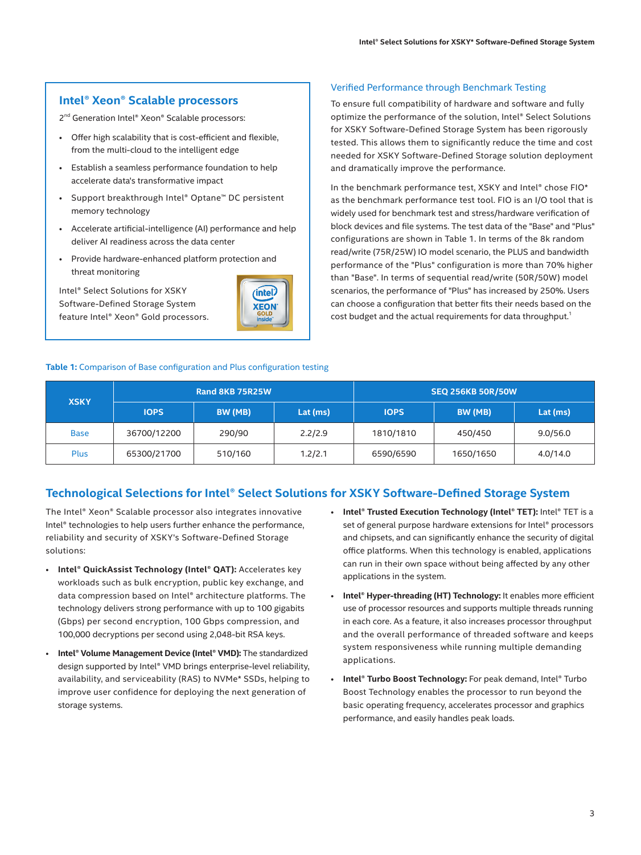# **Intel® Xeon® Scalable processors**

2<sup>nd</sup> Generation Intel® Xeon® Scalable processors:

- Offer high scalability that is cost-efficient and flexible, from the multi-cloud to the intelligent edge
- Establish a seamless performance foundation to help accelerate data's transformative impact
- Support breakthrough Intel® Optane™ DC persistent memory technology
- Accelerate artificial-intelligence (AI) performance and help deliver AI readiness across the data center
- Provide hardware-enhanced platform protection and threat monitoring

Intel® Select Solutions for XSKY Software-Defined Storage System feature Intel® Xeon® Gold processors.



## Verified Performance through Benchmark Testing

To ensure full compatibility of hardware and software and fully optimize the performance of the solution, Intel® Select Solutions for XSKY Software-Defined Storage System has been rigorously tested. This allows them to significantly reduce the time and cost needed for XSKY Software-Defined Storage solution deployment and dramatically improve the performance.

In the benchmark performance test, XSKY and Intel® chose FIO\* as the benchmark performance test tool. FIO is an I/O tool that is widely used for benchmark test and stress/hardware verification of block devices and file systems. The test data of the "Base" and "Plus" configurations are shown in Table 1. In terms of the 8k random read/write (75R/25W) IO model scenario, the PLUS and bandwidth performance of the "Plus" configuration is more than 70% higher than "Base". In terms of sequential read/write (50R/50W) model scenarios, the performance of "Plus" has increased by 250%. Users can choose a configuration that better fits their needs based on the cost budget and the actual requirements for data throughput.<sup>1</sup>

## **Table 1:** Comparison of Base configuration and Plus configuration testing

| <b>XSKY</b> | <b>Rand 8KB 75R25W</b> |         |          | <b>SEQ 256KB 50R/50W</b> |           |          |
|-------------|------------------------|---------|----------|--------------------------|-----------|----------|
|             | <b>IOPS</b>            | BW (MB) | Lat (ms) | <b>IOPS</b>              | BW (MB)   | Lat (ms) |
| <b>Base</b> | 36700/12200            | 290/90  | 2.2/2.9  | 1810/1810                | 450/450   | 9.0/56.0 |
| <b>Plus</b> | 65300/21700            | 510/160 | 1.2/2.1  | 6590/6590                | 1650/1650 | 4.0/14.0 |

# **Technological Selections for Intel® Select Solutions for XSKY Software-Defined Storage System**

The Intel® Xeon® Scalable processor also integrates innovative Intel® technologies to help users further enhance the performance, reliability and security of XSKY's Software-Defined Storage solutions:

- **Intel® QuickAssist Technology (Intel® QAT):** Accelerates key workloads such as bulk encryption, public key exchange, and data compression based on Intel® architecture platforms. The technology delivers strong performance with up to 100 gigabits (Gbps) per second encryption, 100 Gbps compression, and 100,000 decryptions per second using 2,048-bit RSA keys.
- **Intel® Volume Management Device (Intel® VMD):** The standardized design supported by Intel® VMD brings enterprise-level reliability, availability, and serviceability (RAS) to NVMe\* SSDs, helping to improve user confidence for deploying the next generation of storage systems.
- **Intel® Trusted Execution Technology (Intel® TET):** Intel® TET is a set of general purpose hardware extensions for Intel® processors and chipsets, and can significantly enhance the security of digital office platforms. When this technology is enabled, applications can run in their own space without being affected by any other applications in the system.
- **Intel® Hyper-threading (HT) Technology:** It enables more efficient use of processor resources and supports multiple threads running in each core. As a feature, it also increases processor throughput and the overall performance of threaded software and keeps system responsiveness while running multiple demanding applications.
- **Intel® Turbo Boost Technology:** For peak demand, Intel® Turbo Boost Technology enables the processor to run beyond the basic operating frequency, accelerates processor and graphics performance, and easily handles peak loads.